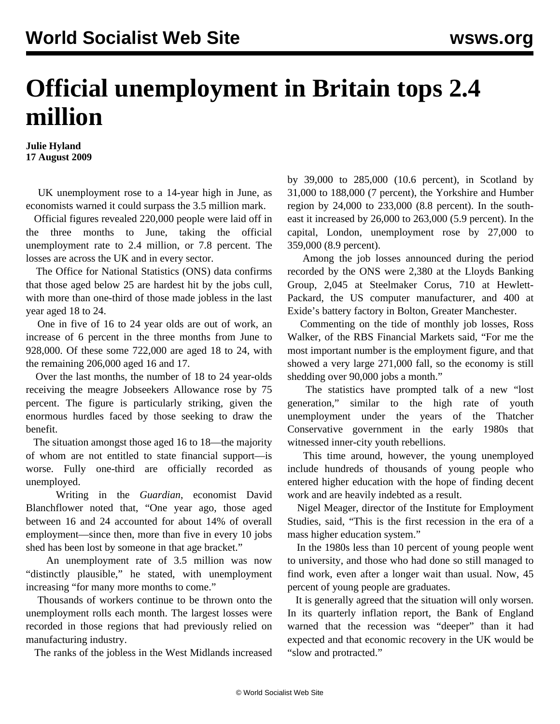## **Official unemployment in Britain tops 2.4 million**

**Julie Hyland 17 August 2009**

 UK unemployment rose to a 14-year high in June, as economists warned it could surpass the 3.5 million mark.

 Official figures revealed 220,000 people were laid off in the three months to June, taking the official unemployment rate to 2.4 million, or 7.8 percent. The losses are across the UK and in every sector.

 The Office for National Statistics (ONS) data confirms that those aged below 25 are hardest hit by the jobs cull, with more than one-third of those made jobless in the last year aged 18 to 24.

 One in five of 16 to 24 year olds are out of work, an increase of 6 percent in the three months from June to 928,000. Of these some 722,000 are aged 18 to 24, with the remaining 206,000 aged 16 and 17.

 Over the last months, the number of 18 to 24 year-olds receiving the meagre Jobseekers Allowance rose by 75 percent. The figure is particularly striking, given the enormous hurdles faced by those seeking to draw the benefit.

 The situation amongst those aged 16 to 18—the majority of whom are not entitled to state financial support—is worse. Fully one-third are officially recorded as unemployed.

 Writing in the *Guardian*, economist David Blanchflower noted that, "One year ago, those aged between 16 and 24 accounted for about 14% of overall employment—since then, more than five in every 10 jobs shed has been lost by someone in that age bracket."

 An unemployment rate of 3.5 million was now "distinctly plausible," he stated, with unemployment increasing "for many more months to come."

 Thousands of workers continue to be thrown onto the unemployment rolls each month. The largest losses were recorded in those regions that had previously relied on manufacturing industry.

The ranks of the jobless in the West Midlands increased

by 39,000 to 285,000 (10.6 percent), in Scotland by 31,000 to 188,000 (7 percent), the Yorkshire and Humber region by 24,000 to 233,000 (8.8 percent). In the southeast it increased by 26,000 to 263,000 (5.9 percent). In the capital, London, unemployment rose by 27,000 to 359,000 (8.9 percent).

 Among the job losses announced during the period recorded by the ONS were 2,380 at the Lloyds Banking Group, 2,045 at Steelmaker Corus, 710 at Hewlett-Packard, the US computer manufacturer, and 400 at Exide's battery factory in Bolton, Greater Manchester.

 Commenting on the tide of monthly job losses, Ross Walker, of the RBS Financial Markets said, "For me the most important number is the employment figure, and that showed a very large 271,000 fall, so the economy is still shedding over 90,000 jobs a month."

 The statistics have prompted talk of a new "lost generation," similar to the high rate of youth unemployment under the years of the Thatcher Conservative government in the early 1980s that witnessed inner-city youth rebellions.

 This time around, however, the young unemployed include hundreds of thousands of young people who entered higher education with the hope of finding decent work and are heavily indebted as a result.

 Nigel Meager, director of the Institute for Employment Studies, said, "This is the first recession in the era of a mass higher education system."

 In the 1980s less than 10 percent of young people went to university, and those who had done so still managed to find work, even after a longer wait than usual. Now, 45 percent of young people are graduates.

 It is generally agreed that the situation will only worsen. In its quarterly inflation report, the Bank of England warned that the recession was "deeper" than it had expected and that economic recovery in the UK would be "slow and protracted."